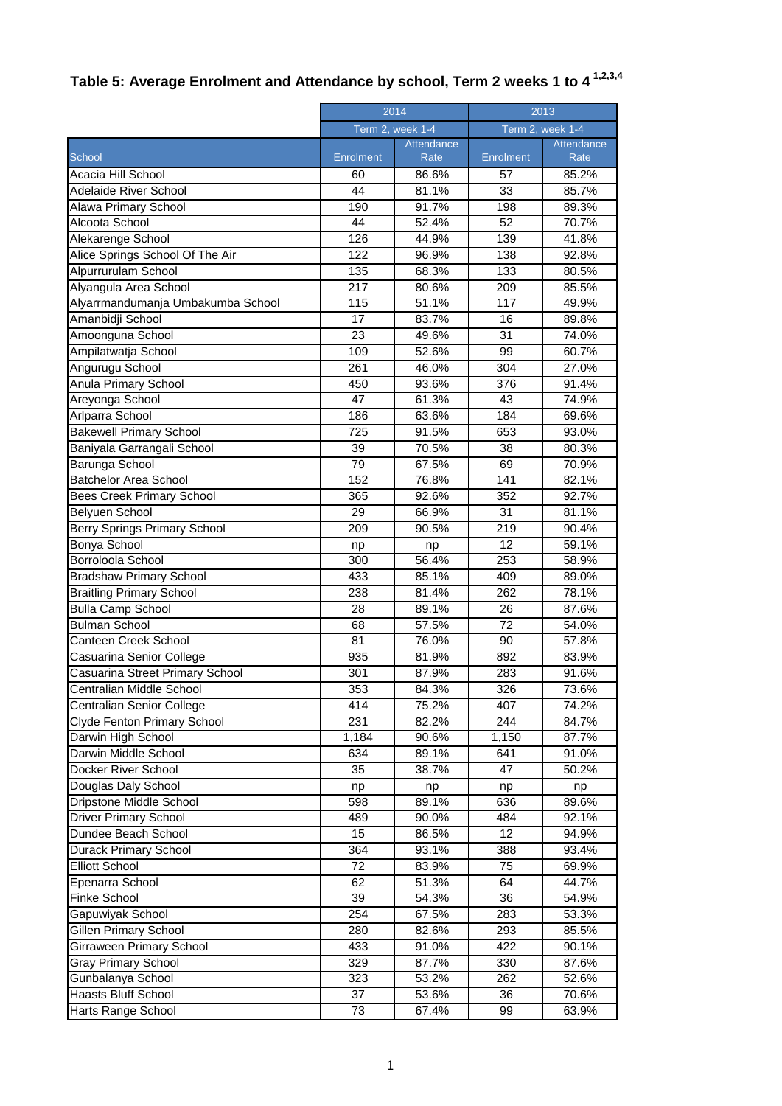## **Table 5: Average Enrolment and Attendance by school, Term 2 weeks 1 to 4 1,2,3,4**

|                                     | 2014             |                     | 2013             |            |
|-------------------------------------|------------------|---------------------|------------------|------------|
|                                     | Term 2, week 1-4 |                     | Term 2, week 1-4 |            |
|                                     |                  | Attendance          |                  | Attendance |
| School                              | <b>Enrolment</b> | Rate                | Enrolment        | Rate       |
| Acacia Hill School                  | 60               | 86.6%               | 57               | 85.2%      |
| Adelaide River School               | 44               | 81.1%               | 33               | 85.7%      |
| Alawa Primary School                | 190              | 91.7%               | 198              | 89.3%      |
| Alcoota School                      | 44               | 52.4%               | 52               | 70.7%      |
| Alekarenge School                   | 126              | 44.9%               | 139              | 41.8%      |
| Alice Springs School Of The Air     | 122              | 96.9%               | 138              | 92.8%      |
| Alpurrurulam School                 | 135              | 68.3%               | 133              | 80.5%      |
| Alyangula Area School               | 217              | 80.6%               | 209              | 85.5%      |
| Alyarrmandumanja Umbakumba School   | 115              | 51.1%               | 117              | 49.9%      |
| Amanbidji School                    | 17               | 83.7%               | 16               | 89.8%      |
| Amoonguna School                    | 23               | 49.6%               | 31               | 74.0%      |
| Ampilatwatja School                 | 109              | 52.6%               | 99               | 60.7%      |
| Angurugu School                     | 261              | 46.0%               | 304              | 27.0%      |
| Anula Primary School                | 450              | 93.6%               | 376              | 91.4%      |
| Areyonga School                     | 47               | 61.3%               | 43               | 74.9%      |
| Arlparra School                     | 186              | 63.6%               | 184              | 69.6%      |
| <b>Bakewell Primary School</b>      | 725              | 91.5%               | 653              | 93.0%      |
| Baniyala Garrangali School          | 39               | 70.5%               | 38               | 80.3%      |
| Barunga School                      | 79               | 67.5%               | 69               | 70.9%      |
| <b>Batchelor Area School</b>        | 152              | 76.8%               | 141              | 82.1%      |
| <b>Bees Creek Primary School</b>    | 365              | 92.6%               | 352              | 92.7%      |
| <b>Belyuen School</b>               | 29               | 66.9%               | 31               | 81.1%      |
| <b>Berry Springs Primary School</b> | 209              | 90.5%               | 219              | 90.4%      |
| Bonya School                        | np               | np                  | 12               | 59.1%      |
| Borroloola School                   | 300              | 56.4%               | 253              | 58.9%      |
| <b>Bradshaw Primary School</b>      | 433              | 85.1%               | 409              | 89.0%      |
| <b>Braitling Primary School</b>     | 238              | 81.4%               | 262              | 78.1%      |
| <b>Bulla Camp School</b>            | 28               | 89.1%               | 26               | 87.6%      |
| <b>Bulman School</b>                | 68               | 57.5%               | 72               | 54.0%      |
| Canteen Creek School                | 81               | 76.0%               | 90               | 57.8%      |
| Casuarina Senior College            | 935              | 81.9%               | 892              | 83.9%      |
| Casuarina Street Primary School     | 301              | 87.9%               | 283              | 91.6%      |
| Centralian Middle School            | 353              | $84.\overline{3\%}$ | $\overline{326}$ | 73.6%      |
| Centralian Senior College           | 414              | 75.2%               | 407              | 74.2%      |
| Clyde Fenton Primary School         | 231              | 82.2%               | 244              | 84.7%      |
| Darwin High School                  | 1,184            | 90.6%               | 1,150            | 87.7%      |
| Darwin Middle School                | 634              | 89.1%               | 641              | 91.0%      |
| Docker River School                 | 35               | 38.7%               | 47               | 50.2%      |
| Douglas Daly School                 | np               | np                  | np               | np         |
| Dripstone Middle School             | 598              | 89.1%               | 636              | 89.6%      |
| <b>Driver Primary School</b>        | 489              | 90.0%               | 484              | 92.1%      |
| Dundee Beach School                 | 15               | 86.5%               | 12               | 94.9%      |
| Durack Primary School               | 364              | 93.1%               | 388              | 93.4%      |
| <b>Elliott School</b>               | 72               | 83.9%               | 75               | 69.9%      |
| Epenarra School                     | 62               | 51.3%               | 64               | 44.7%      |
| Finke School                        | 39               | 54.3%               | 36               | 54.9%      |
| Gapuwiyak School                    | 254              | 67.5%               | 283              | 53.3%      |
| <b>Gillen Primary School</b>        | 280              | 82.6%               | 293              | 85.5%      |
| Girraween Primary School            | 433              | 91.0%               | 422              | 90.1%      |
| <b>Gray Primary School</b>          | 329              | 87.7%               | 330              | 87.6%      |
| Gunbalanya School                   | 323              | 53.2%               | 262              | 52.6%      |
| Haasts Bluff School                 | 37               | 53.6%               | 36               | 70.6%      |
| Harts Range School                  | 73               | 67.4%               | 99               | 63.9%      |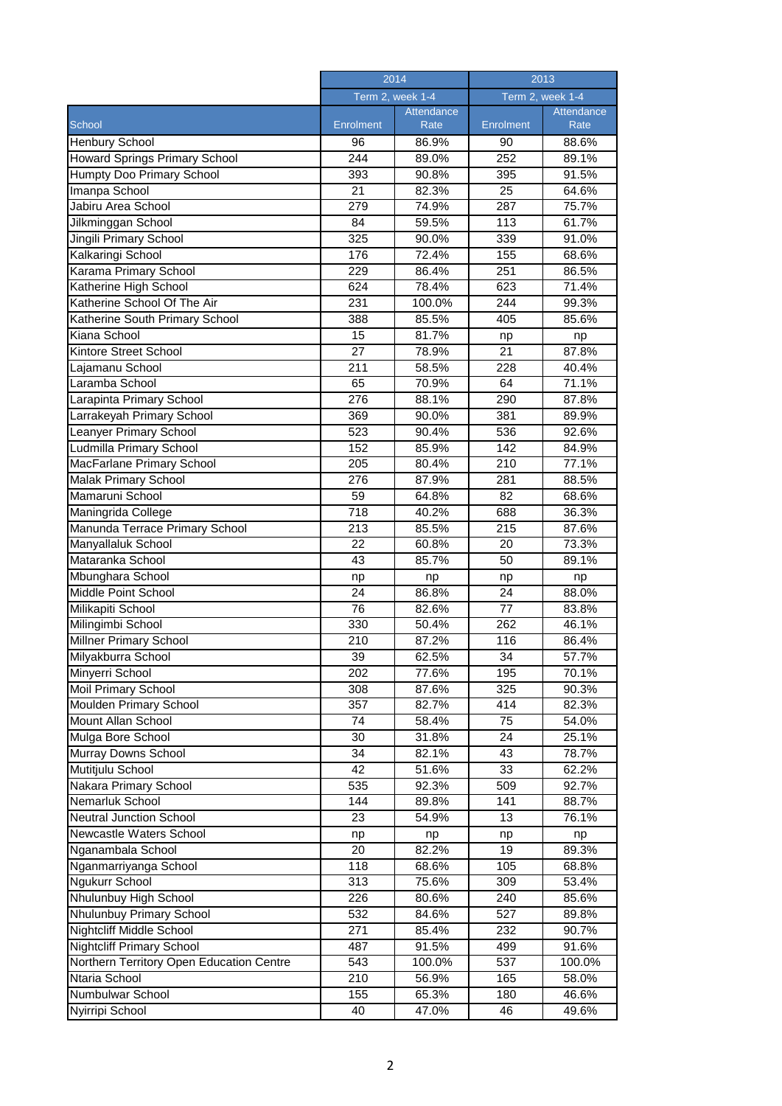|                                          | 2014<br>Term 2, week 1-4 |                | 2013<br>Term 2, week 1-4 |            |
|------------------------------------------|--------------------------|----------------|--------------------------|------------|
|                                          |                          |                |                          |            |
|                                          |                          | Attendance     |                          | Attendance |
| School                                   | <b>Enrolment</b>         | Rate           | Enrolment                | Rate       |
| Henbury School                           | 96                       | 86.9%          | 90                       | 88.6%      |
| Howard Springs Primary School            | 244                      | 89.0%          | 252                      | 89.1%      |
| Humpty Doo Primary School                | 393                      | 90.8%          | 395                      | 91.5%      |
| Imanpa School                            | 21                       | 82.3%          | 25                       | 64.6%      |
| Jabiru Area School                       | 279                      | 74.9%          | 287                      | 75.7%      |
| Jilkminggan School                       | 84                       | 59.5%          | 113                      | 61.7%      |
| Jingili Primary School                   | 325                      | 90.0%          | 339                      | 91.0%      |
| Kalkaringi School                        | 176                      | 72.4%          | 155                      | 68.6%      |
| Karama Primary School                    | 229                      | 86.4%          | 251                      | 86.5%      |
| Katherine High School                    | 624                      | 78.4%          | 623                      | 71.4%      |
| Katherine School Of The Air              | 231                      | 100.0%         | 244                      | 99.3%      |
| Katherine South Primary School           | 388                      | 85.5%          | 405                      | 85.6%      |
| Kiana School                             | 15                       | 81.7%          | np                       | np         |
| Kintore Street School                    | 27                       | 78.9%          | 21                       | 87.8%      |
| Lajamanu School                          | $\overline{2}11$         | 58.5%          | 228                      | 40.4%      |
| Laramba School                           | 65                       | 70.9%          | 64                       | 71.1%      |
| Larapinta Primary School                 | 276                      | 88.1%          | 290                      | 87.8%      |
| Larrakeyah Primary School                | 369                      | 90.0%          | 381                      | 89.9%      |
| Leanyer Primary School                   | 523                      | 90.4%          | 536                      | 92.6%      |
| Ludmilla Primary School                  | 152                      | 85.9%          | 142                      | 84.9%      |
| MacFarlane Primary School                | 205                      | 80.4%          | 210                      | 77.1%      |
| Malak Primary School                     | 276                      | 87.9%          | 281                      | 88.5%      |
| Mamaruni School                          | 59                       | 64.8%          | 82                       | 68.6%      |
| Maningrida College                       | 718                      | 40.2%          | 688                      | 36.3%      |
| Manunda Terrace Primary School           | 213                      | 85.5%          | 215                      | 87.6%      |
| Manyallaluk School                       | 22                       | 60.8%          | 20                       | 73.3%      |
| Mataranka School                         | 43                       | 85.7%          | 50                       | 89.1%      |
| Mbunghara School                         | np                       | np             | np                       | np         |
| Middle Point School                      | 24                       | 86.8%          | 24                       | 88.0%      |
| Milikapiti School                        | 76                       | 82.6%          | 77                       | 83.8%      |
| Milingimbi School                        | 330                      | 50.4%          | 262                      | 46.1%      |
| Millner Primary School                   | 210                      | 87.2%          | 116                      | 86.4%      |
| Milyakburra School                       | 39                       | 62.5%          | 34                       | 57.7%      |
| Minyerri School                          | 202                      | 77.6%          | 195                      | 70.1%      |
| Moil Primary School                      | 308                      | 87.6%          | 325                      | 90.3%      |
| <b>Moulden Primary School</b>            | 357                      | 82.7%          | 414                      | 82.3%      |
| Mount Allan School                       | 74                       | 58.4%          | 75                       | 54.0%      |
| Mulga Bore School                        | 30                       | 31.8%          | 24                       | 25.1%      |
| Murray Downs School                      | 34                       | 82.1%          | 43                       | 78.7%      |
| Mutitjulu School                         | 42                       | 51.6%          | 33                       | 62.2%      |
|                                          | 535                      |                | 509                      |            |
| Nakara Primary School<br>Nemarluk School | 144                      | 92.3%<br>89.8% | 141                      | 92.7%      |
| <b>Neutral Junction School</b>           | 23                       | 54.9%          | 13                       | 88.7%      |
| Newcastle Waters School                  |                          |                |                          | 76.1%      |
| Nganambala School                        | np<br>20                 | np             | np<br>19                 | np         |
|                                          |                          | 82.2%          |                          | 89.3%      |
| Nganmarriyanga School                    | 118                      | 68.6%          | 105                      | 68.8%      |
| Ngukurr School                           | 313                      | 75.6%          | 309                      | 53.4%      |
| Nhulunbuy High School                    | 226                      | 80.6%          | 240                      | 85.6%      |
| Nhulunbuy Primary School                 | 532                      | 84.6%          | 527                      | 89.8%      |
| Nightcliff Middle School                 | 271                      | 85.4%          | 232                      | 90.7%      |
| <b>Nightcliff Primary School</b>         | 487                      | 91.5%          | 499                      | 91.6%      |
| Northern Territory Open Education Centre | 543                      | 100.0%         | 537                      | 100.0%     |
| Ntaria School                            | 210                      | 56.9%          | 165                      | 58.0%      |
| Numbulwar School                         | 155                      | 65.3%          | 180                      | 46.6%      |
| Nyirripi School                          | 40                       | 47.0%          | 46                       | 49.6%      |